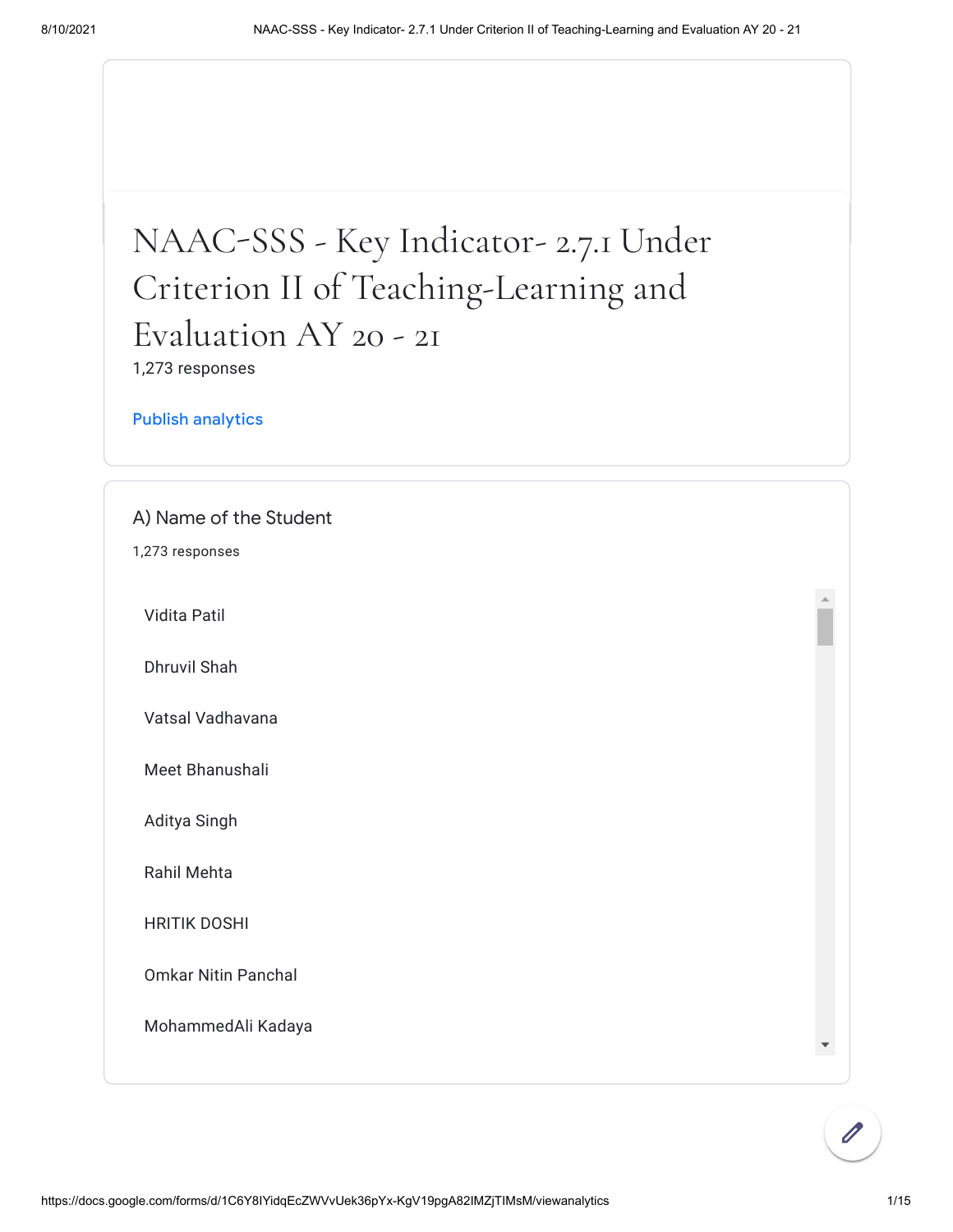## NAACSSS - Key Indicator- 2.7.1 Under Criterion II of Teaching-Learning and Evaluation AY 20 - 21

1,273 responses

[Publish analytics](https://docs.google.com/forms/d/1C6Y8IYidqEcZWVvUek36pYx-KgV19pgA82IMZjTIMsM/edit?usp=redirect_edit_m2#start=publishanalytics)

A) Name of the Student

1,273 responses

Vidita Patil

Dhruvil Shah

Vatsal Vadhavana

Meet Bhanushali

Aditya Singh

Rahil Mehta

HRITIK DOSHI

Omkar Nitin Panchal

MohammedAli Kadaya

 $\bar{a}$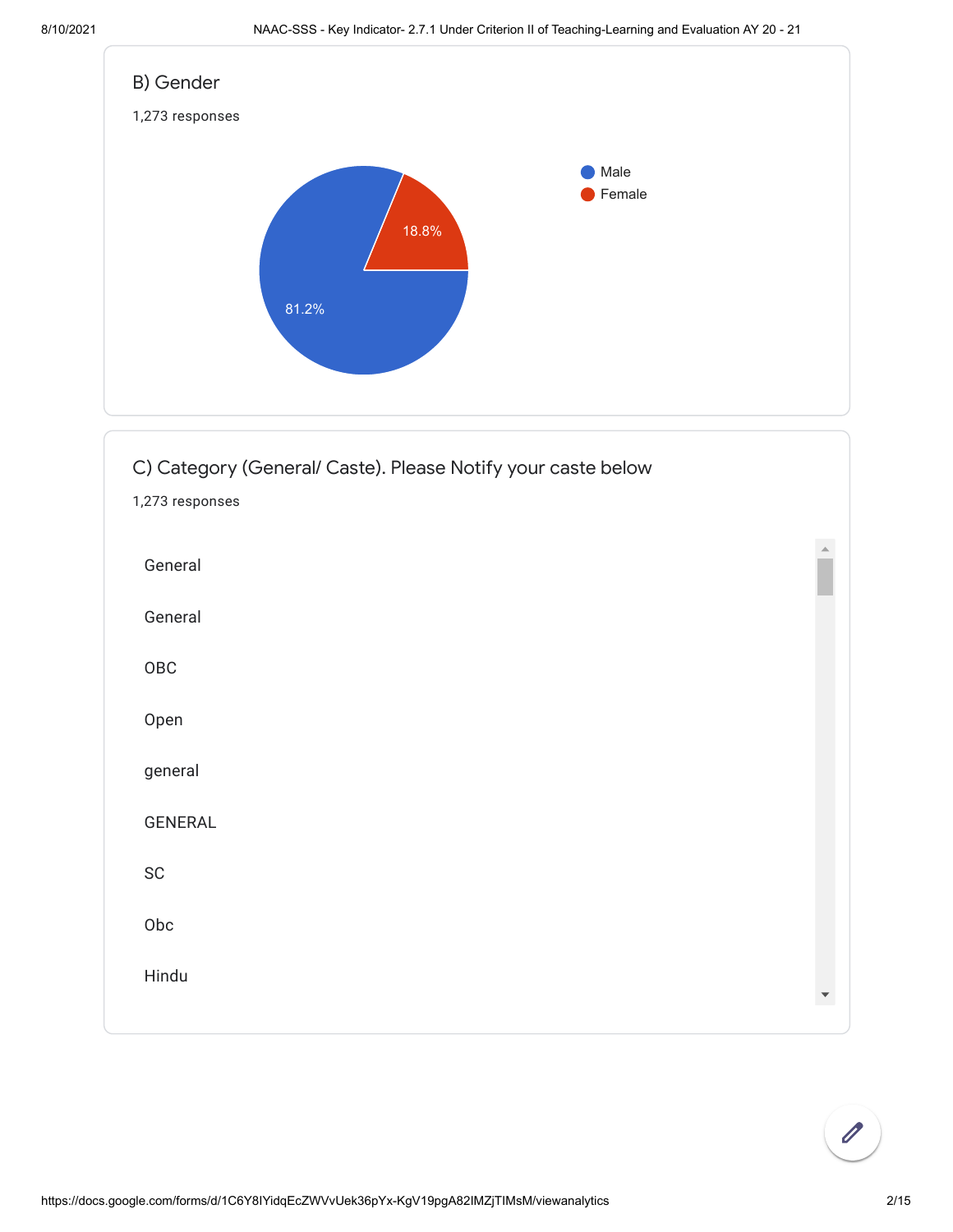



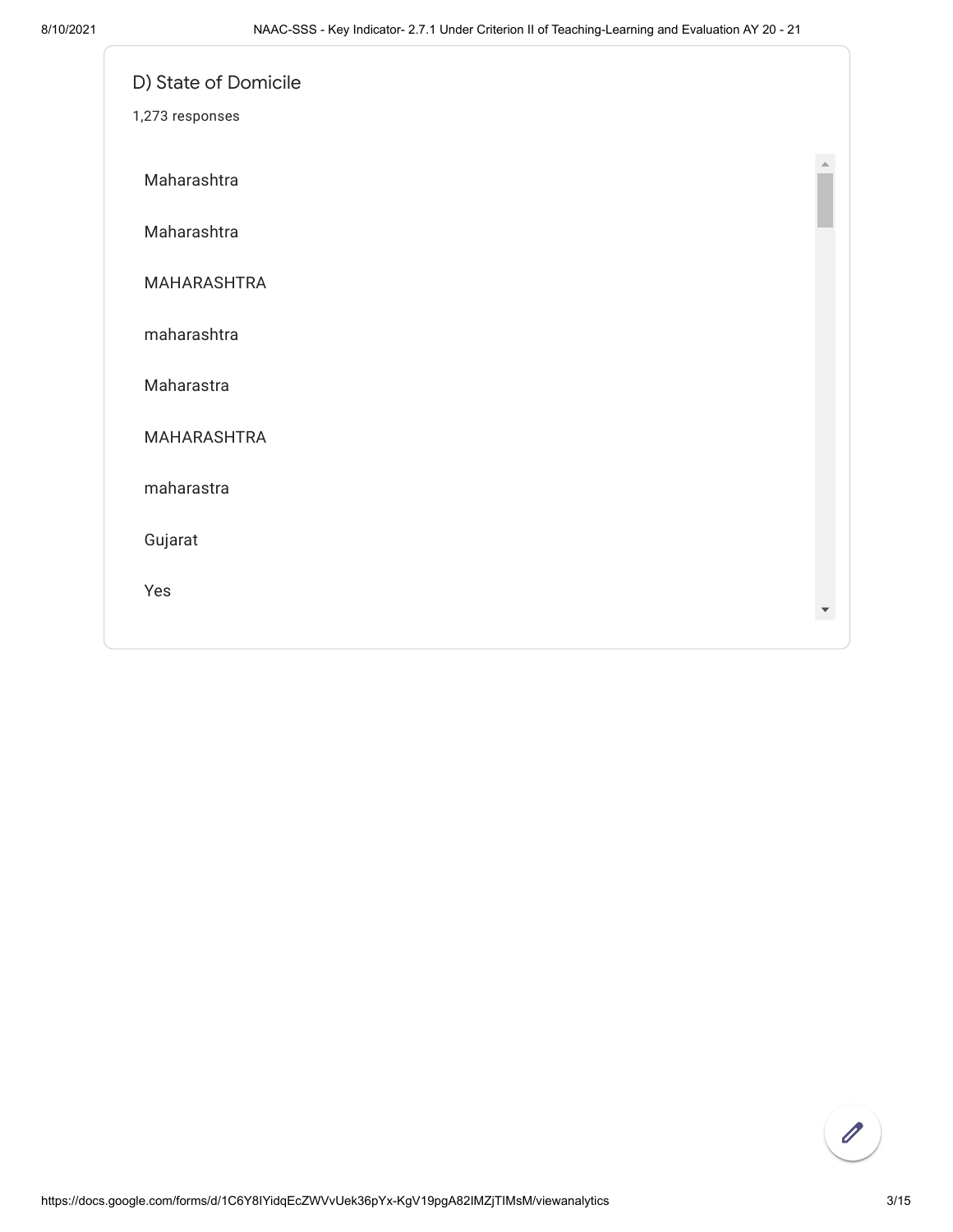| D) State of Domicile |  |
|----------------------|--|
| 1,273 responses      |  |
| Maharashtra          |  |
| Maharashtra          |  |
| MAHARASHTRA          |  |
| maharashtra          |  |
| Maharastra           |  |
| MAHARASHTRA          |  |
| maharastra           |  |
| Gujarat              |  |
| Yes                  |  |
|                      |  |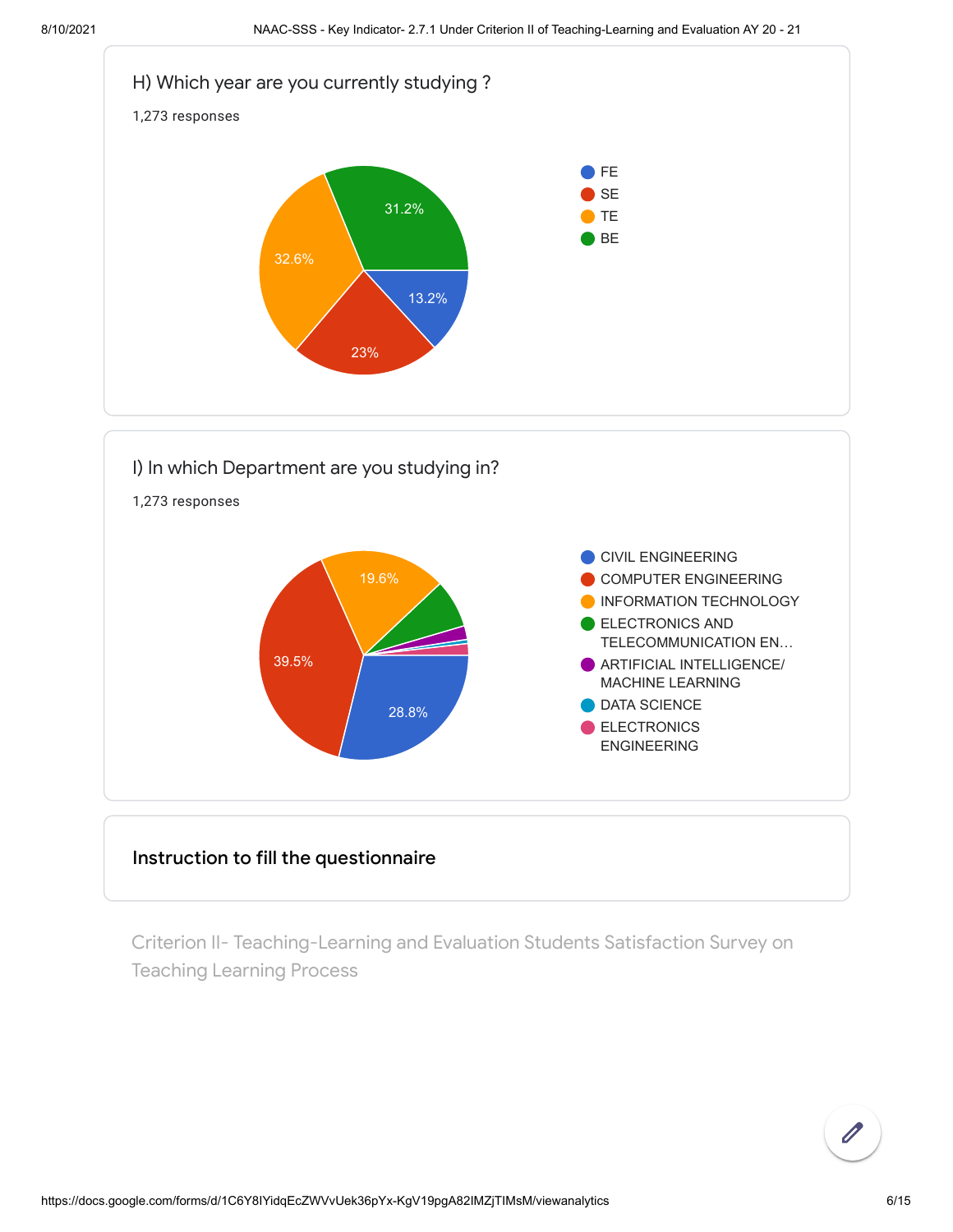



## Instruction to fill the questionnaire

Criterion II- Teaching-Learning and Evaluation Students Satisfaction Survey on Teaching Learning Process

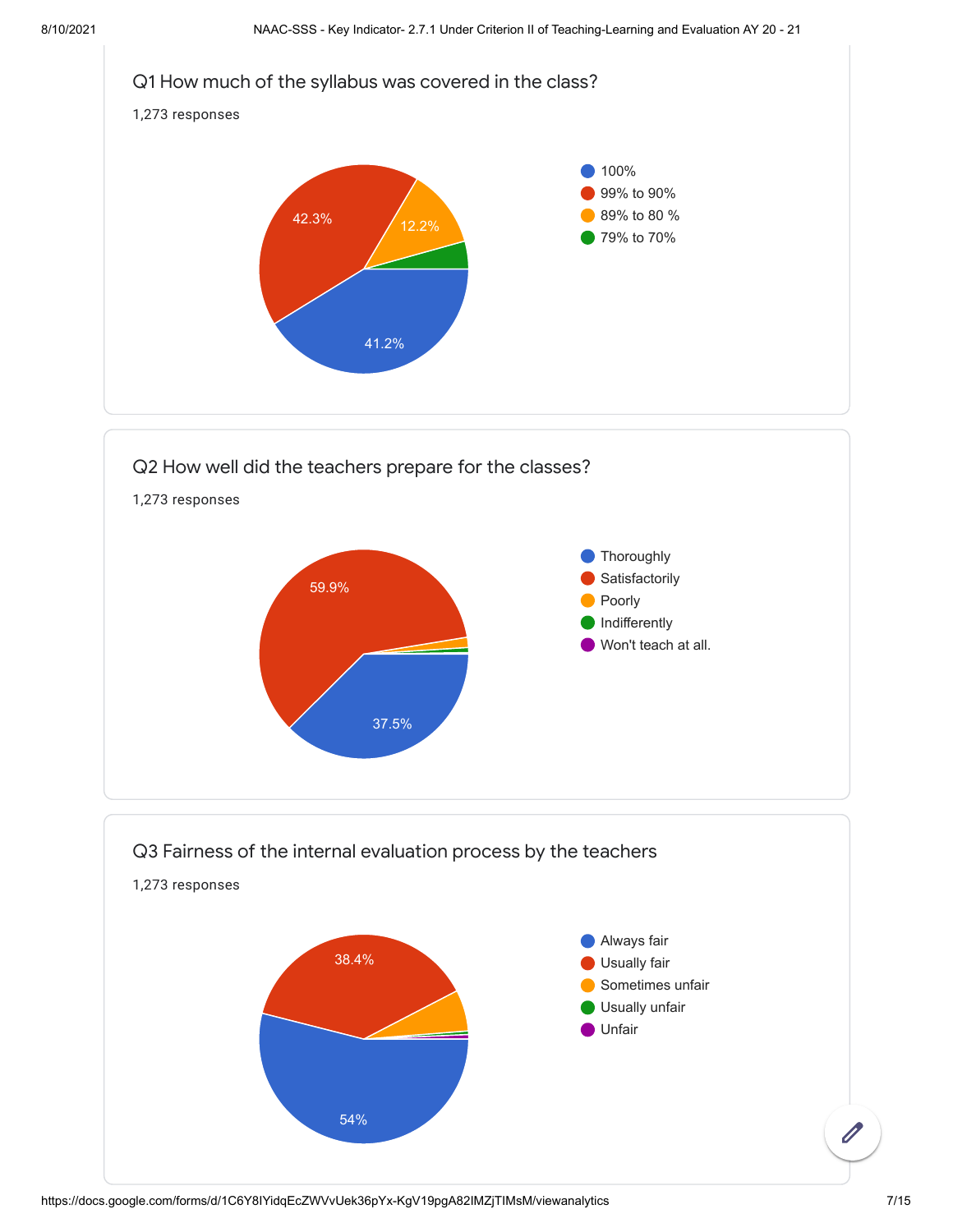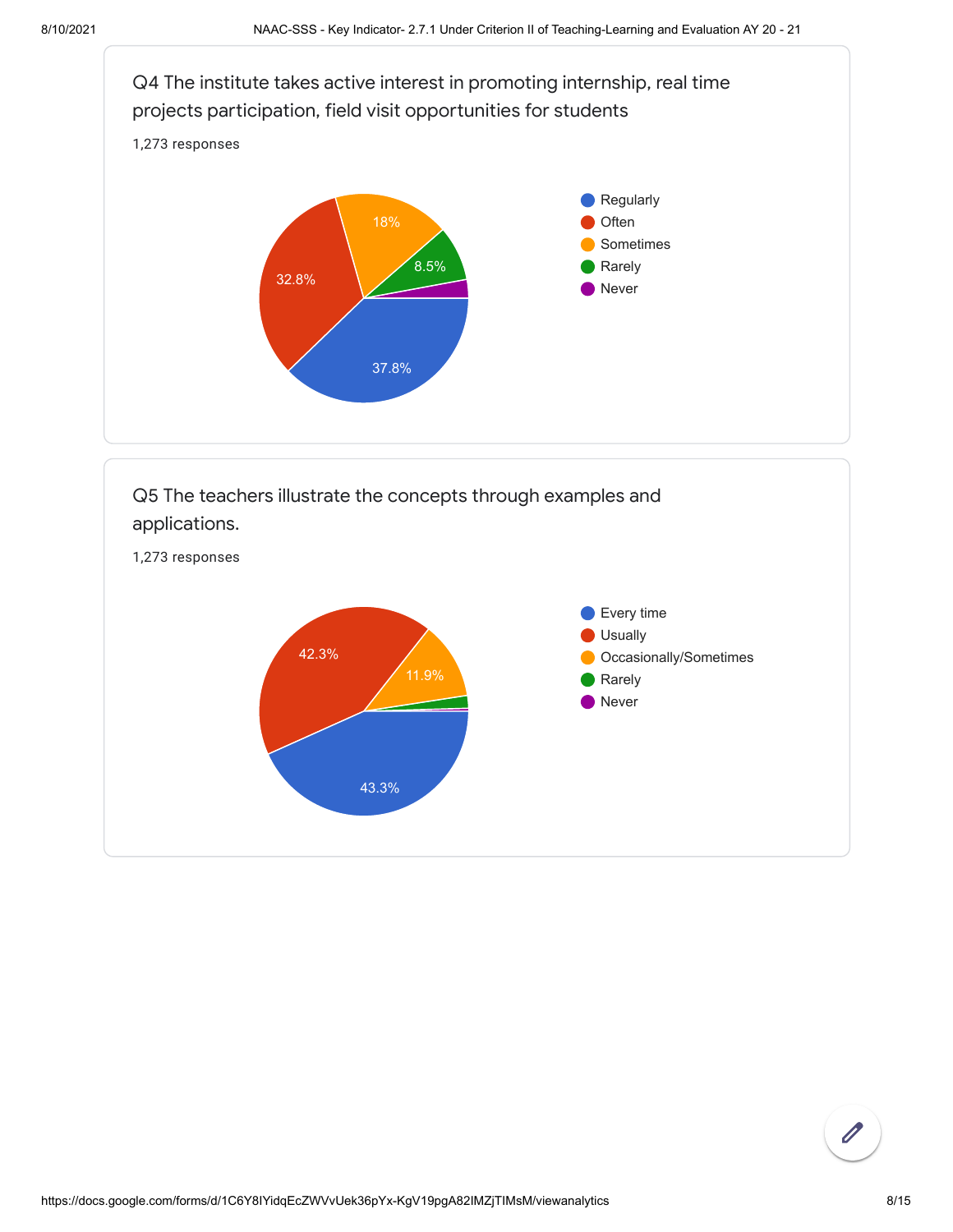



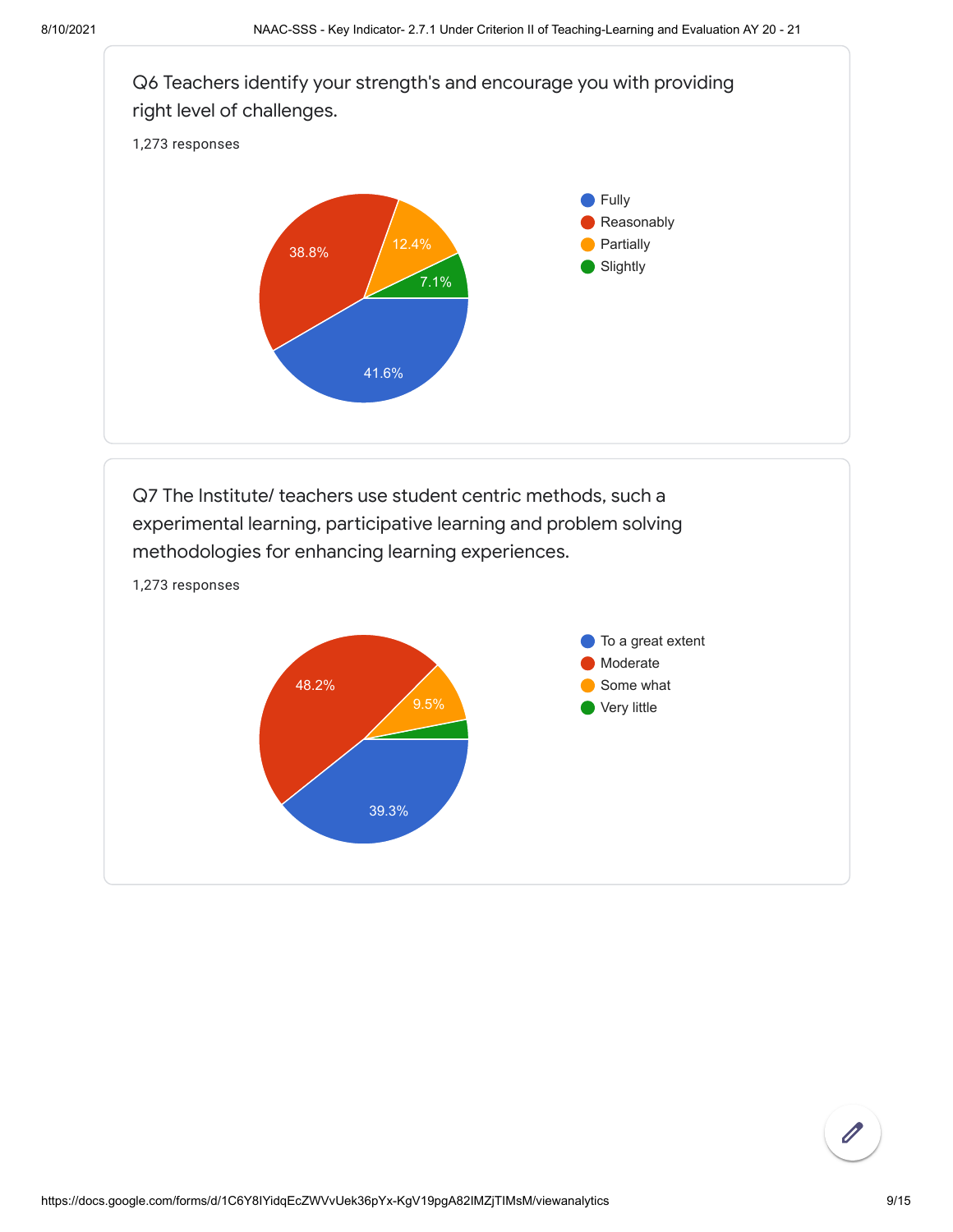

Q7 The Institute/ teachers use student centric methods, such a experimental learning, participative learning and problem solving methodologies for enhancing learning experiences.



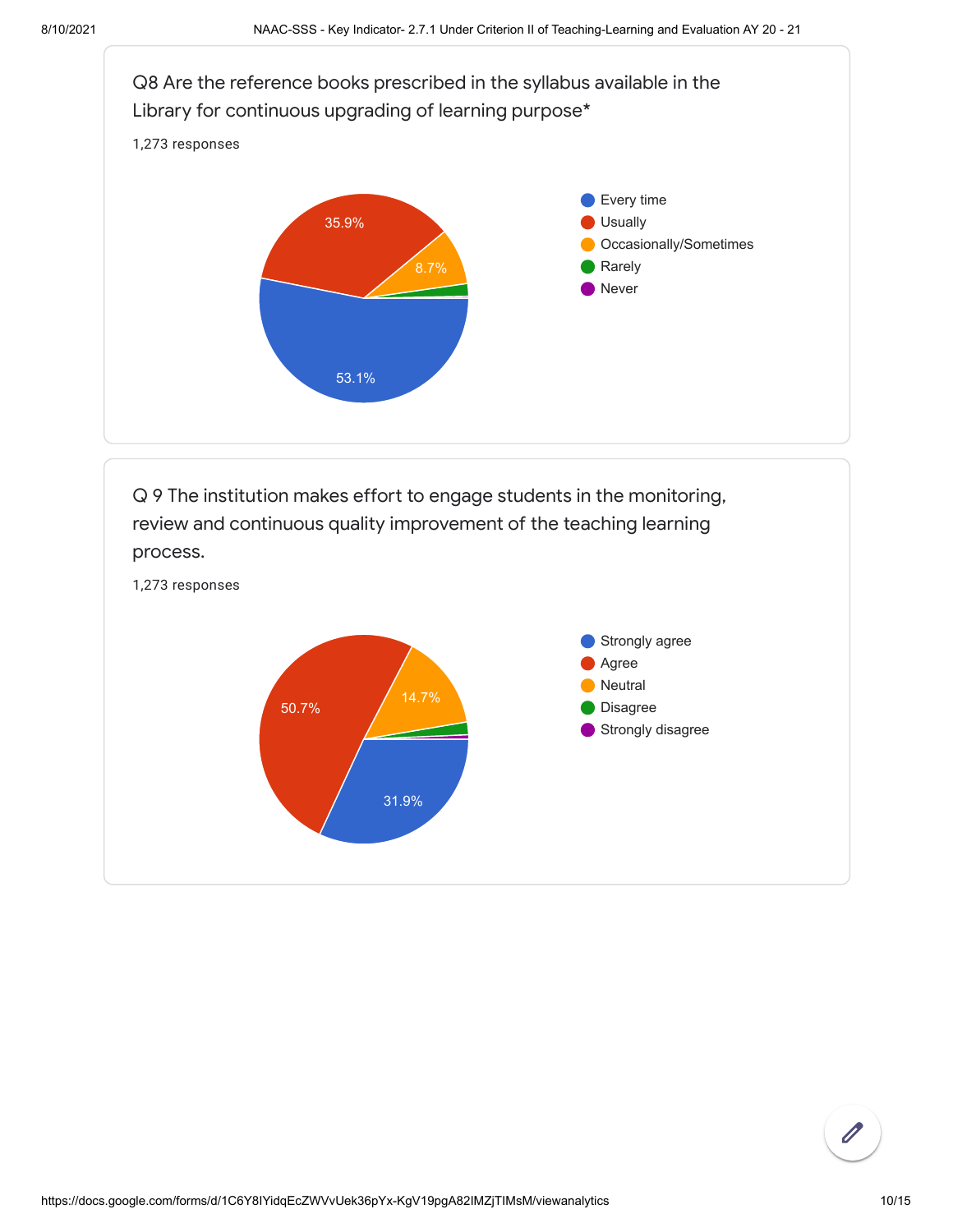

Q 9 The institution makes effort to engage students in the monitoring, review and continuous quality improvement of the teaching learning process.



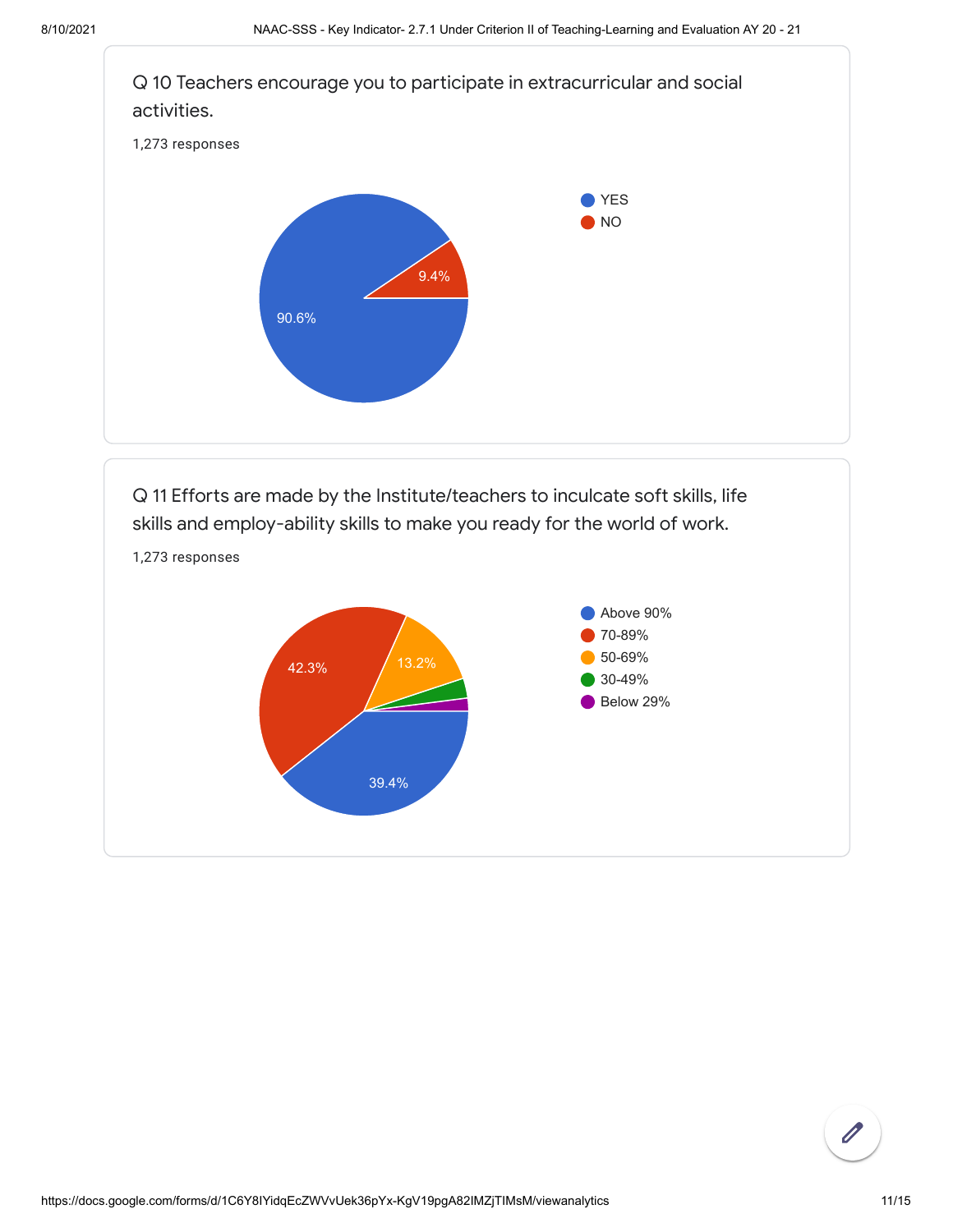

Q 11 Efforts are made by the Institute/teachers to inculcate soft skills, life skills and employ-ability skills to make you ready for the world of work.

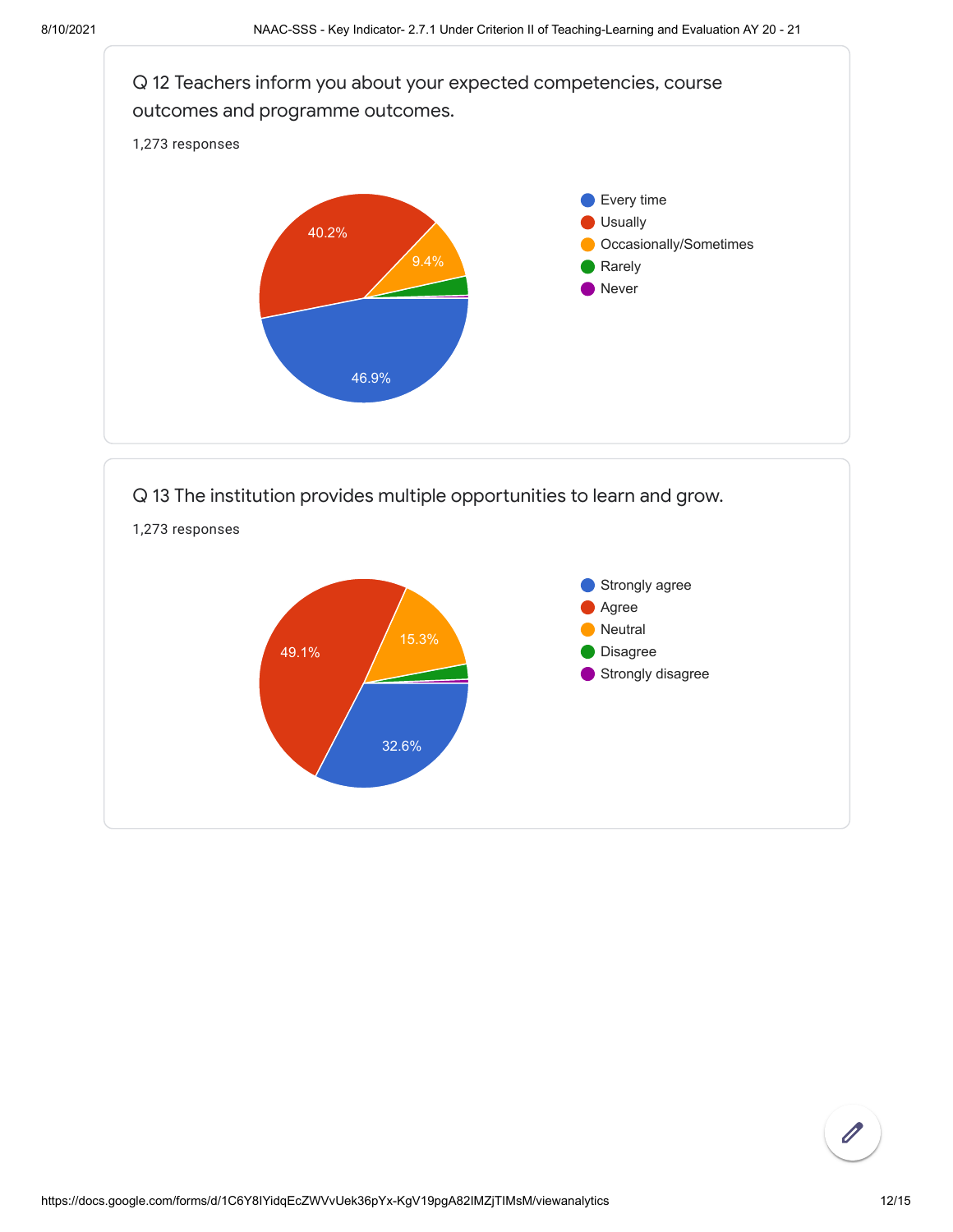

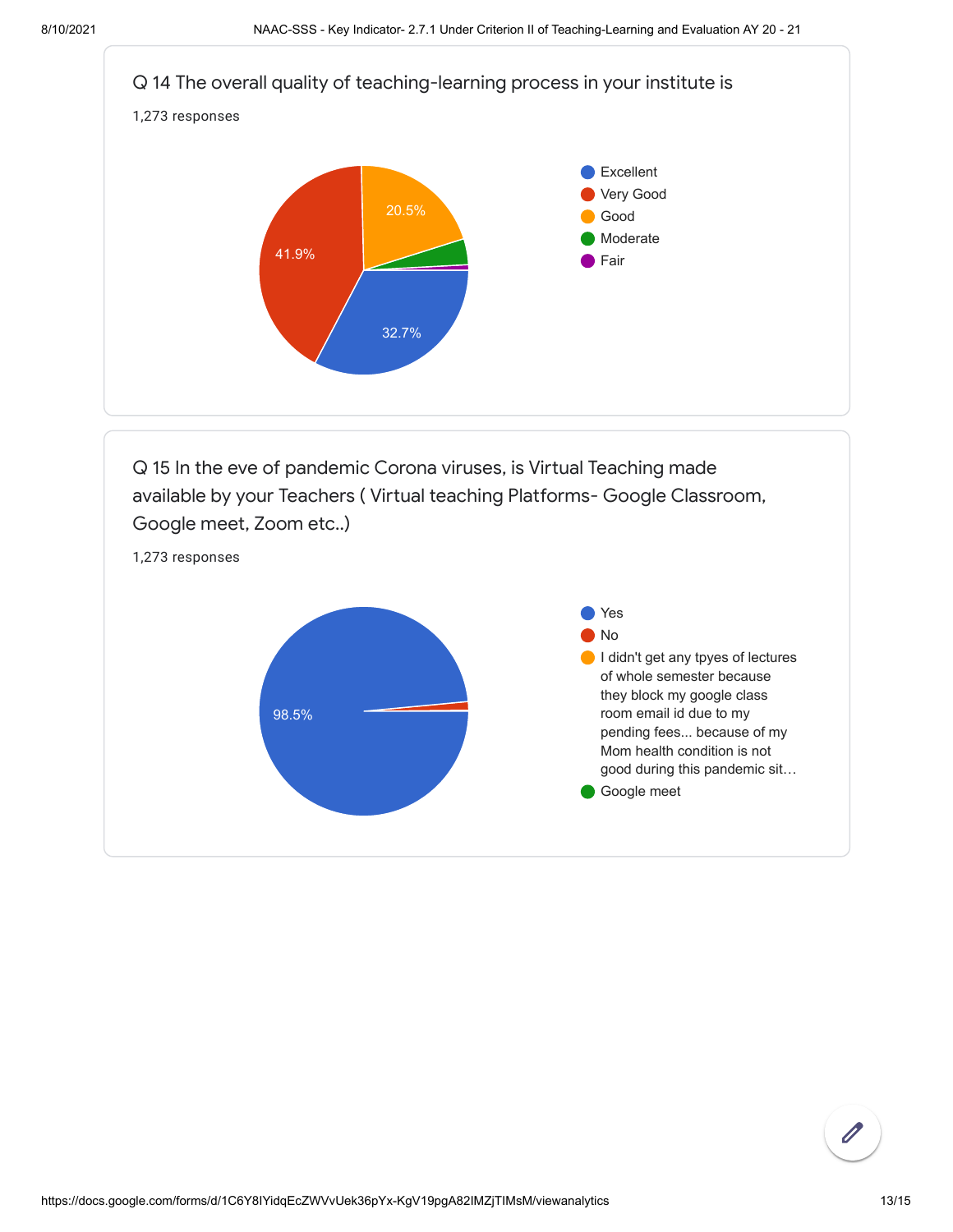

pending fees... because of my Mom health condition is not good during this pandemic sit…

Google meet

https://docs.google.com/forms/d/1C6Y8IYidqEcZWVvUek36pYx-KgV19pgA82IMZjTIMsM/viewanalytics 13/15